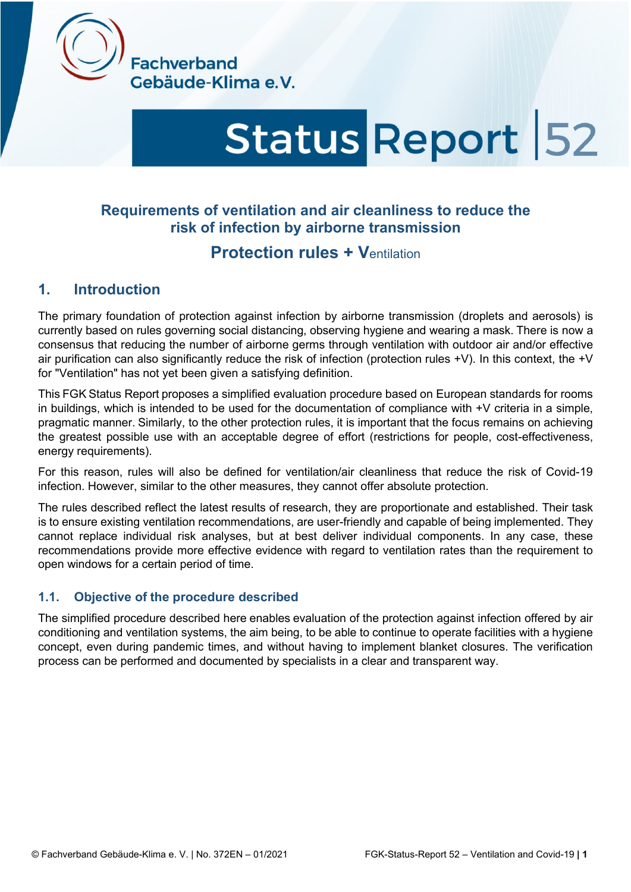

**Fachverband** Gebäude-Klima e.V.

# Status Report 52

# **Requirements of ventilation and air cleanliness to reduce the risk of infection by airborne transmission**

# **Protection rules + V**entilation

# **1. Introduction**

The primary foundation of protection against infection by airborne transmission (droplets and aerosols) is currently based on rules governing social distancing, observing hygiene and wearing a mask. There is now a consensus that reducing the number of airborne germs through ventilation with outdoor air and/or effective air purification can also significantly reduce the risk of infection (protection rules +V). In this context, the +V for "Ventilation" has not yet been given a satisfying definition.

This FGK Status Report proposes a simplified evaluation procedure based on European standards for rooms in buildings, which is intended to be used for the documentation of compliance with +V criteria in a simple, pragmatic manner. Similarly, to the other protection rules, it is important that the focus remains on achieving the greatest possible use with an acceptable degree of effort (restrictions for people, cost-effectiveness, energy requirements).

For this reason, rules will also be defined for ventilation/air cleanliness that reduce the risk of Covid-19 infection. However, similar to the other measures, they cannot offer absolute protection.

The rules described reflect the latest results of research, they are proportionate and established. Their task is to ensure existing ventilation recommendations, are user-friendly and capable of being implemented. They cannot replace individual risk analyses, but at best deliver individual components. In any case, these recommendations provide more effective evidence with regard to ventilation rates than the requirement to open windows for a certain period of time.

#### **1.1. Objective of the procedure described**

The simplified procedure described here enables evaluation of the protection against infection offered by air conditioning and ventilation systems, the aim being, to be able to continue to operate facilities with a hygiene concept, even during pandemic times, and without having to implement blanket closures. The verification process can be performed and documented by specialists in a clear and transparent way.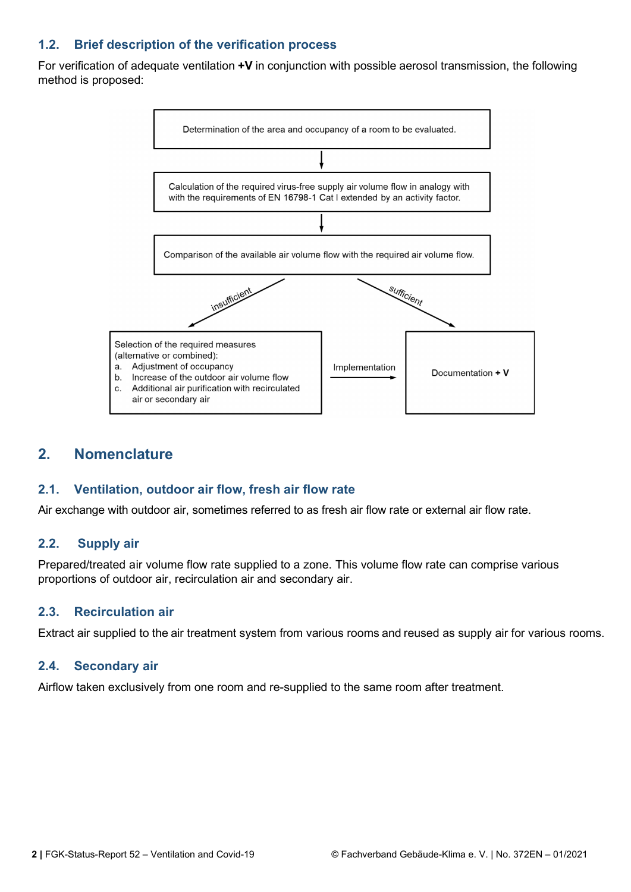## **1.2. Brief description of the verification process**

For verification of adequate ventilation **+V** in conjunction with possible aerosol transmission, the following method is proposed:



## **2. Nomenclature**

#### **2.1. Ventilation, outdoor air flow, fresh air flow rate**

Air exchange with outdoor air, sometimes referred to as fresh air flow rate or external air flow rate.

#### **2.2. Supply air**

Prepared/treated air volume flow rate supplied to a zone. This volume flow rate can comprise various proportions of outdoor air, recirculation air and secondary air.

#### **2.3. Recirculation air**

Extract air supplied to the air treatment system from various rooms and reused as supply air for various rooms.

#### **2.4. Secondary air**

Airflow taken exclusively from one room and re-supplied to the same room after treatment.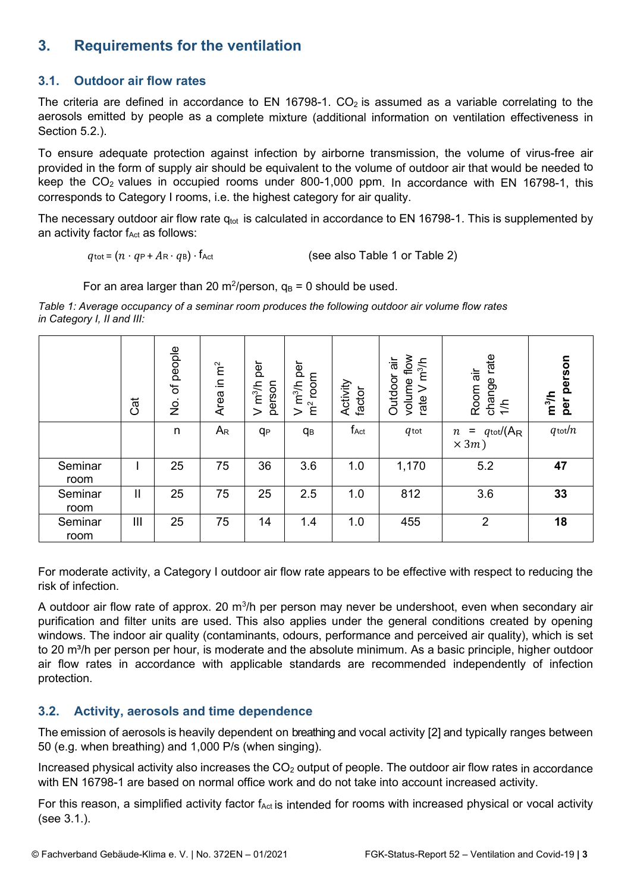# **3. Requirements for the ventilation**

## **3.1. Outdoor air flow rates**

The criteria are defined in accordance to EN 16798-1.  $CO<sub>2</sub>$  is assumed as a variable correlating to the aerosols emitted by people as a complete mixture (additional information on ventilation effectiveness in Section 5.2.).

To ensure adequate protection against infection by airborne transmission, the volume of virus-free air provided in the form of supply air should be equivalent to the volume of outdoor air that would be needed to keep the  $CO<sub>2</sub>$  values in occupied rooms under 800-1,000 ppm. In accordance with EN 16798-1, this corresponds to Category I rooms, i.e. the highest category for air quality.

The necessary outdoor air flow rate  $q_{tot}$  is calculated in accordance to EN 16798-1. This is supplemented by an activity factor  $f_{\text{Act}}$  as follows:

 $q_{\text{tot}} = (n \cdot q_{\text{P}} + A_{\text{R}} \cdot q_{\text{B}}) \cdot f_{\text{Act}}$  (see also Table 1 or Table 2)

For an area larger than 20 m<sup>2</sup>/person,  $q_B$  = 0 should be used.

*Table 1: Average occupancy of a seminar room produces the following outdoor air volume flow rates in Category I, II and III:*

|                 | <b>Gat</b>   | of people<br>$\frac{1}{2}$ | $\mathsf{in} \, \mathsf{m}^2$<br>Area | per<br>m <sup>3</sup> /h<br>person<br>$\,>$ | per<br>room<br>m <sup>3</sup> /h<br>$\widetilde{\mathsf{E}}$<br>$\,>$ | Activity<br>factor | flow<br>ंब<br>ज<br>m <sup>3</sup> /h<br>Outdoor<br>volume<br>⋗<br>rate | rate<br>āί<br>change<br>Room<br>$\frac{4}{1}$      | person<br>m <sup>3</sup> /h<br>per |
|-----------------|--------------|----------------------------|---------------------------------------|---------------------------------------------|-----------------------------------------------------------------------|--------------------|------------------------------------------------------------------------|----------------------------------------------------|------------------------------------|
|                 |              | n                          | $A_{R}$                               | q <sub>P</sub>                              | q <sub>B</sub>                                                        | $f_{\mathsf{Act}}$ | $q$ tot                                                                | $q$ tot/ $(A_R)$<br>Ξ<br>$\, n \,$<br>$\times 3m)$ | $q$ tot $/n$                       |
| Seminar<br>room |              | 25                         | 75                                    | 36                                          | 3.6                                                                   | 1.0                | 1,170                                                                  | 5.2                                                | 47                                 |
| Seminar<br>room | $\mathbf{I}$ | 25                         | 75                                    | 25                                          | 2.5                                                                   | 1.0                | 812                                                                    | 3.6                                                | 33                                 |
| Seminar<br>room | Ш            | 25                         | 75                                    | 14                                          | 1.4                                                                   | 1.0                | 455                                                                    | $\overline{2}$                                     | 18                                 |

For moderate activity, a Category I outdoor air flow rate appears to be effective with respect to reducing the risk of infection.

A outdoor air flow rate of approx. 20 m<sup>3</sup>/h per person may never be undershoot, even when secondary air purification and filter units are used. This also applies under the general conditions created by opening windows. The indoor air quality (contaminants, odours, performance and perceived air quality), which is set to 20 m<sup>3</sup>/h per person per hour, is moderate and the absolute minimum. As a basic principle, higher outdoor air flow rates in accordance with applicable standards are recommended independently of infection protection.

## **3.2. Activity, aerosols and time dependence**

The emission of aerosols is heavily dependent on breathing and vocal activity [2] and typically ranges between 50 (e.g. when breathing) and 1,000 P/s (when singing).

Increased physical activity also increases the  $CO<sub>2</sub>$  output of people. The outdoor air flow rates in accordance with EN 16798-1 are based on normal office work and do not take into account increased activity.

For this reason, a simplified activity factor f<sub>Act</sub> is intended for rooms with increased physical or vocal activity (see 3.1.).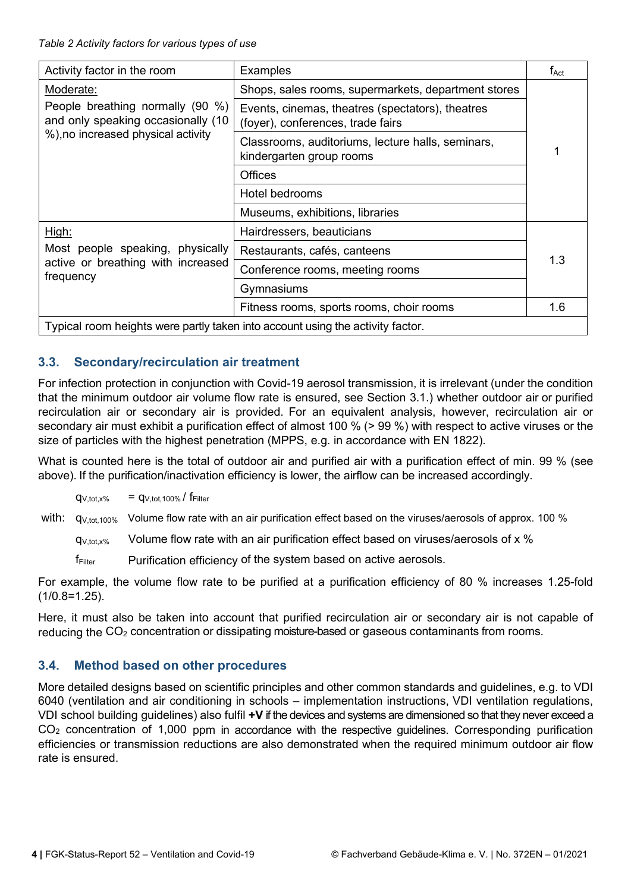*Table 2 Activity factors for various types of use*

| Activity factor in the room                                                    | <b>Examples</b>                                                                       | $f_{\mathsf{Act}}$ |  |  |  |
|--------------------------------------------------------------------------------|---------------------------------------------------------------------------------------|--------------------|--|--|--|
| Moderate:                                                                      | Shops, sales rooms, supermarkets, department stores                                   |                    |  |  |  |
| People breathing normally (90 %)<br>and only speaking occasionally (10         | Events, cinemas, theatres (spectators), theatres<br>(foyer), conferences, trade fairs |                    |  |  |  |
| %), no increased physical activity                                             | Classrooms, auditoriums, lecture halls, seminars,<br>kindergarten group rooms         |                    |  |  |  |
|                                                                                | <b>Offices</b>                                                                        |                    |  |  |  |
|                                                                                | Hotel bedrooms                                                                        |                    |  |  |  |
|                                                                                | Museums, exhibitions, libraries                                                       |                    |  |  |  |
| High:                                                                          | Hairdressers, beauticians                                                             |                    |  |  |  |
| Most people speaking, physically                                               | Restaurants, cafés, canteens                                                          |                    |  |  |  |
| active or breathing with increased<br>frequency                                | Conference rooms, meeting rooms                                                       |                    |  |  |  |
|                                                                                | Gymnasiums                                                                            |                    |  |  |  |
|                                                                                | Fitness rooms, sports rooms, choir rooms                                              | 1.6                |  |  |  |
| Typical room heights were partly taken into account using the activity factor. |                                                                                       |                    |  |  |  |

## **3.3. Secondary/recirculation air treatment**

For infection protection in conjunction with Covid-19 aerosol transmission, it is irrelevant (under the condition that the minimum outdoor air volume flow rate is ensured, see Section 3.1.) whether outdoor air or purified recirculation air or secondary air is provided. For an equivalent analysis, however, recirculation air or secondary air must exhibit a purification effect of almost 100 % (> 99 %) with respect to active viruses or the size of particles with the highest penetration (MPPS, e.g. in accordance with EN 1822).

What is counted here is the total of outdoor air and purified air with a purification effect of min. 99 % (see above). If the purification/inactivation efficiency is lower, the airflow can be increased accordingly.

$$
q_{V, tot, x\%} = q_{V, tot, 100\%}/f_{Filter}
$$

with: q<sub>V,tot,100%</sub> Volume flow rate with an air purification effect based on the viruses/aerosols of approx. 100 %

 $q_{V, tot, x\%}$  Volume flow rate with an air purification effect based on viruses/aerosols of x %

fFilter Purification efficiency of the system based on active aerosols.

For example, the volume flow rate to be purified at a purification efficiency of 80 % increases 1.25-fold  $(1/0.8=1.25)$ .

Here, it must also be taken into account that purified recirculation air or secondary air is not capable of reducing the  $CO<sub>2</sub>$  concentration or dissipating moisture-based or gaseous contaminants from rooms.

## **3.4. Method based on other procedures**

More detailed designs based on scientific principles and other common standards and guidelines, e.g. to VDI 6040 (ventilation and air conditioning in schools – implementation instructions, VDI ventilation regulations, VDI school building guidelines) also fulfil **+V** if the devices and systems are dimensioned so that they never exceed a  $CO<sub>2</sub>$  concentration of 1,000 ppm in accordance with the respective quidelines. Corresponding purification efficiencies or transmission reductions are also demonstrated when the required minimum outdoor air flow rate is ensured.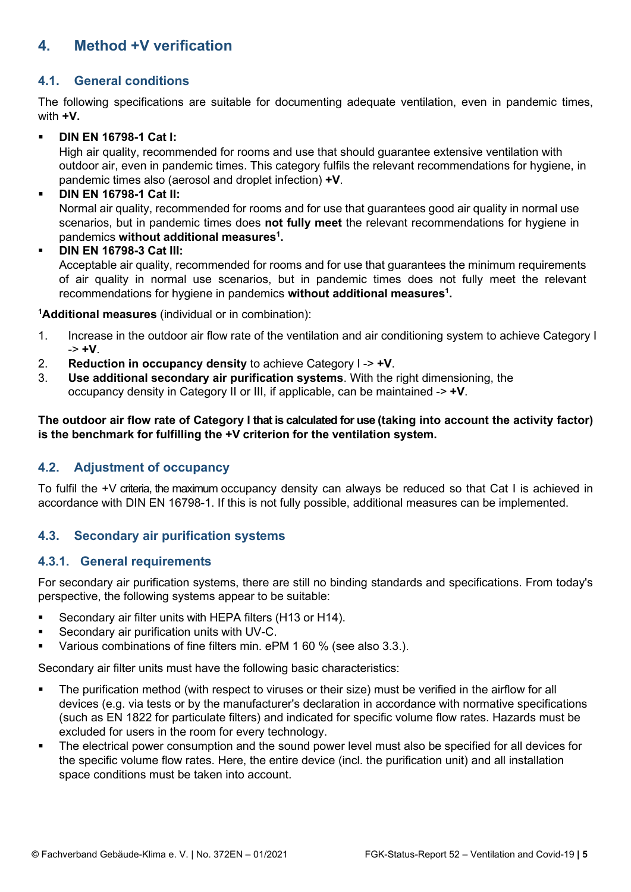# **4. Method +V verification**

#### **4.1. General conditions**

The following specifications are suitable for documenting adequate ventilation, even in pandemic times, with **+V.**

#### **DIN EN 16798-1 Cat I:**

High air quality, recommended for rooms and use that should guarantee extensive ventilation with outdoor air, even in pandemic times. This category fulfils the relevant recommendations for hygiene, in pandemic times also (aerosol and droplet infection) **+V**.

#### **DIN EN 16798-1 Cat II:**

Normal air quality, recommended for rooms and for use that guarantees good air quality in normal use scenarios, but in pandemic times does **not fully meet** the relevant recommendations for hygiene in pandemics **without additional measures1 .**

#### **DIN EN 16798-3 Cat III:**

Acceptable air quality, recommended for rooms and for use that guarantees the minimum requirements of air quality in normal use scenarios, but in pandemic times does not fully meet the relevant recommendations for hygiene in pandemics **without additional measures1 .**

**1 Additional measures** (individual or in combination):

- 1. Increase in the outdoor air flow rate of the ventilation and air conditioning system to achieve Category I -> **+V**.
- 2. **Reduction in occupancy density** to achieve Category I -> **+V**.
- 3. **Use additional secondary air purification systems**. With the right dimensioning, the occupancy density in Category II or III, if applicable, can be maintained -> **+V**.

#### **The outdoor air flow rate of Category I that is calculated for use (taking into account the activity factor) is the benchmark for fulfilling the +V criterion for the ventilation system.**

#### **4.2. Adjustment of occupancy**

To fulfil the +V criteria, the maximum occupancy density can always be reduced so that Cat I is achieved in accordance with DIN EN 16798-1. If this is not fully possible, additional measures can be implemented.

#### **4.3. Secondary air purification systems**

#### **4.3.1. General requirements**

For secondary air purification systems, there are still no binding standards and specifications. From today's perspective, the following systems appear to be suitable:

- Secondary air filter units with HEPA filters (H13 or H14).
- Secondary air purification units with UV-C.
- Various combinations of fine filters min. ePM 1 60 % (see also 3.3.).

Secondary air filter units must have the following basic characteristics:

- The purification method (with respect to viruses or their size) must be verified in the airflow for all devices (e.g. via tests or by the manufacturer's declaration in accordance with normative specifications (such as EN 1822 for particulate filters) and indicated for specific volume flow rates. Hazards must be excluded for users in the room for every technology.
- The electrical power consumption and the sound power level must also be specified for all devices for the specific volume flow rates. Here, the entire device (incl. the purification unit) and all installation space conditions must be taken into account.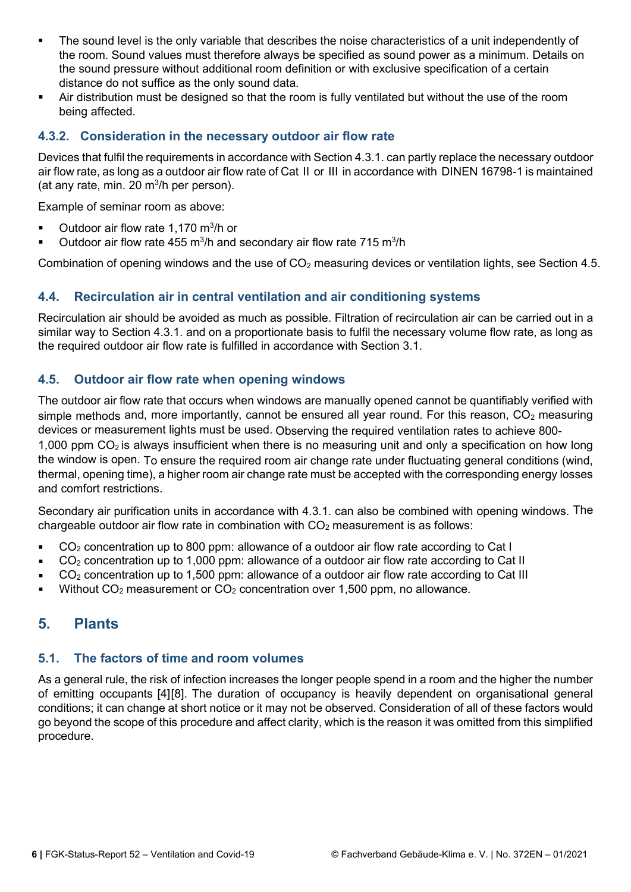- The sound level is the only variable that describes the noise characteristics of a unit independently of the room. Sound values must therefore always be specified as sound power as a minimum. Details on the sound pressure without additional room definition or with exclusive specification of a certain distance do not suffice as the only sound data.
- Air distribution must be designed so that the room is fully ventilated but without the use of the room being affected.

#### **4.3.2. Consideration in the necessary outdoor air flow rate**

Devices that fulfil the requirements in accordance with Section 4.3.1. can partly replace the necessary outdoor air flow rate, as long as a outdoor air flow rate of Cat II or III in accordance with DINEN 16798-1 is maintained (at any rate, min. 20  $\mathrm{m}^3$ /h per person).

Example of seminar room as above:

- $\blacksquare$  Outdoor air flow rate 1,170 m<sup>3</sup>/h or
- Outdoor air flow rate 455 m<sup>3</sup>/h and secondary air flow rate 715 m<sup>3</sup>/h

Combination of opening windows and the use of  $CO<sub>2</sub>$  measuring devices or ventilation lights, see Section 4.5.

#### **4.4. Recirculation air in central ventilation and air conditioning systems**

Recirculation air should be avoided as much as possible. Filtration of recirculation air can be carried out in a similar way to Section 4.3.1. and on a proportionate basis to fulfil the necessary volume flow rate, as long as the required outdoor air flow rate is fulfilled in accordance with Section 3.1.

#### **4.5. Outdoor air flow rate when opening windows**

The outdoor air flow rate that occurs when windows are manually opened cannot be quantifiably verified with simple methods and, more importantly, cannot be ensured all year round. For this reason,  $CO<sub>2</sub>$  measuring devices or measurement lights must be used. Observing the required ventilation rates to achieve 800-

1,000 ppm  $CO<sub>2</sub>$  is always insufficient when there is no measuring unit and only a specification on how long the window is open. To ensure the required room air change rate under fluctuating general conditions (wind, thermal, opening time), a higher room air change rate must be accepted with the corresponding energy losses and comfort restrictions.

Secondary air purification units in accordance with 4.3.1. can also be combined with opening windows. The chargeable outdoor air flow rate in combination with  $CO<sub>2</sub>$  measurement is as follows:

- CO2 concentration up to 800 ppm: allowance of a outdoor air flow rate according to Cat I
- CO2 concentration up to 1,000 ppm: allowance of a outdoor air flow rate according to Cat II
- CO2 concentration up to 1,500 ppm: allowance of a outdoor air flow rate according to Cat III
- Without  $CO<sub>2</sub>$  measurement or  $CO<sub>2</sub>$  concentration over 1,500 ppm, no allowance.

# **5. Plants**

#### **5.1. The factors of time and room volumes**

As a general rule, the risk of infection increases the longer people spend in a room and the higher the number of emitting occupants [4][8]. The duration of occupancy is heavily dependent on organisational general conditions; it can change at short notice or it may not be observed. Consideration of all of these factors would go beyond the scope of this procedure and affect clarity, which is the reason it was omitted from this simplified procedure.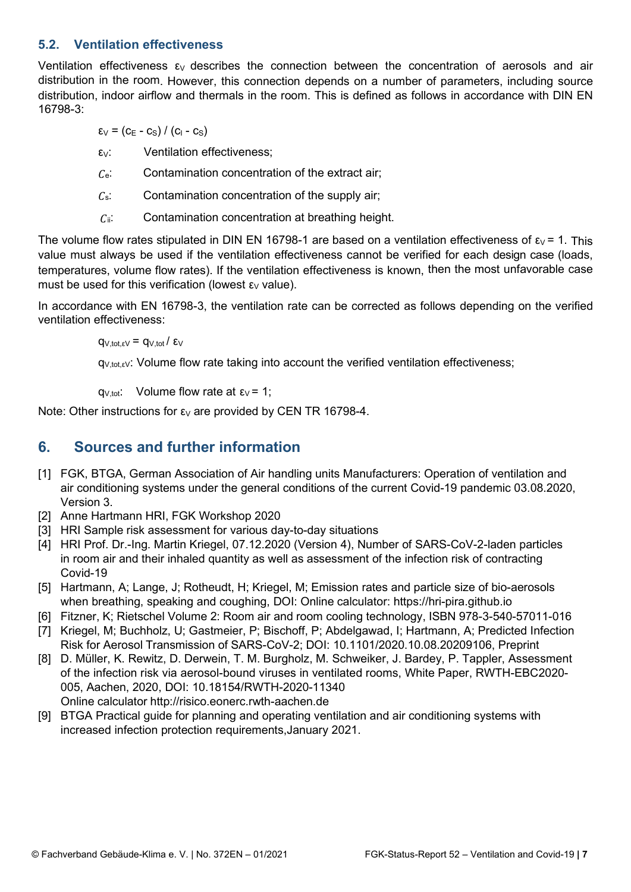#### **5.2. Ventilation effectiveness**

Ventilation effectiveness  $\epsilon_V$  describes the connection between the concentration of aerosols and air distribution in the room. However, this connection depends on a number of parameters, including source distribution, indoor airflow and thermals in the room. This is defined as follows in accordance with DIN EN 16798-3:

 $\varepsilon_V$  = (c<sub>E</sub> - c<sub>S</sub>) / (c<sub>I</sub> - c<sub>S</sub>)

 $\epsilon_{V}$ : Ventilation effectiveness;

 $C_e$ : Contamination concentration of the extract air;

- $c_s$ : Contamination concentration of the supply air;
- $C_{ii}$ : Contamination concentration at breathing height.

The volume flow rates stipulated in DIN EN 16798-1 are based on a ventilation effectiveness of  $\epsilon_V$  = 1. This value must always be used if the ventilation effectiveness cannot be verified for each design case (loads, temperatures, volume flow rates). If the ventilation effectiveness is known, then the most unfavorable case must be used for this verification (lowest  $\epsilon_V$  value).

In accordance with EN 16798-3, the ventilation rate can be corrected as follows depending on the verified ventilation effectiveness:

 $q_{V,tot,\epsilon V} = q_{V,tot}/\epsilon_V$ 

 $q_{V, tot, eV}$ : Volume flow rate taking into account the verified ventilation effectiveness;

q<sub>V,tot</sub>: Volume flow rate at  $\epsilon$ <sub>V</sub> = 1;

Note: Other instructions for  $\epsilon_V$  are provided by CEN TR 16798-4.

# **6. Sources and further information**

- [1] FGK, BTGA, German Association of Air handling units Manufacturers: Operation of ventilation and air conditioning systems under the general conditions of the current Covid-19 pandemic 03.08.2020, Version 3.
- [2] Anne Hartmann HRI, FGK Workshop 2020
- [3] HRI Sample risk assessment for various day-to-day situations
- [4] HRI Prof. Dr.-Ing. Martin Kriegel, 07.12.2020 (Version 4), Number of SARS-CoV-2-laden particles in room air and their inhaled quantity as well as assessment of the infection risk of contracting Covid-19
- [5] Hartmann, A; Lange, J; Rotheudt, H; Kriegel, M; Emission rates and particle size of bio-aerosols when breathing, speaking and coughing, DOI: Online calculator: https://hri-pira.github.io
- [6] Fitzner, K; Rietschel Volume 2: Room air and room cooling technology, ISBN 978-3-540-57011-016
- [7] Kriegel, M; Buchholz, U; Gastmeier, P; Bischoff, P; Abdelgawad, I; Hartmann, A; Predicted Infection Risk for Aerosol Transmission of SARS-CoV-2; DOI: 10.1101/2020.10.08.20209106, Preprint
- [8] D. Müller, K. Rewitz, D. Derwein, T. M. Burgholz, M. Schweiker, J. Bardey, P. Tappler, Assessment of the infection risk via aerosol-bound viruses in ventilated rooms, White Paper, RWTH-EBC2020- 005, Aachen, 2020, DOI: 10.18154/RWTH-2020-11340 Online calculator http://risico.eonerc.rwth-aachen.de
- [9] BTGA Practical guide for planning and operating ventilation and air conditioning systems with increased infection protection requirements,January 2021.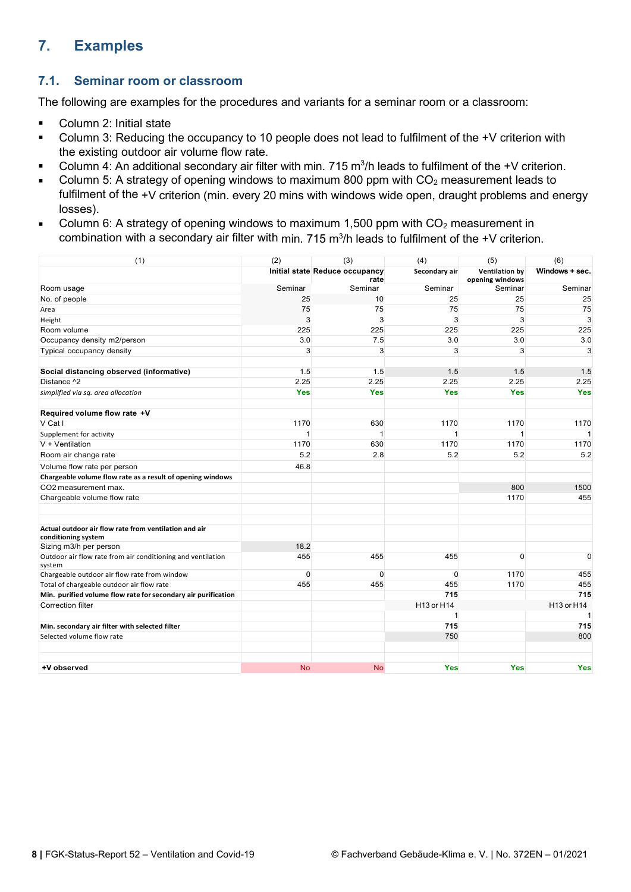# **7. Examples**

#### **7.1. Seminar room or classroom**

The following are examples for the procedures and variants for a seminar room or a classroom:

- Column 2: Initial state
- Column 3: Reducing the occupancy to 10 people does not lead to fulfilment of the +V criterion with the existing outdoor air volume flow rate.
- $\blacksquare$  Column 4: An additional secondary air filter with min. 715 m<sup>3</sup>/h leads to fulfilment of the +V criterion.
- Column 5: A strategy of opening windows to maximum 800 ppm with  $CO<sub>2</sub>$  measurement leads to fulfilment of the +V criterion (min. every 20 mins with windows wide open, draught problems and energy losses).
- Column 6: A strategy of opening windows to maximum 1,500 ppm with  $CO<sub>2</sub>$  measurement in combination with a secondary air filter with min. 715 m $^3\prime$ h leads to fulfilment of the +V criterion.

| (1)                                                                          | (2)                                    | (3)          | (4)           | (5)                                      | (6)            |
|------------------------------------------------------------------------------|----------------------------------------|--------------|---------------|------------------------------------------|----------------|
|                                                                              | Initial state Reduce occupancy<br>rate |              | Secondary air | <b>Ventilation by</b><br>opening windows | Windows + sec. |
| Room usage                                                                   | Seminar                                | Seminar      | Seminar       | Seminar                                  | Seminar        |
| No. of people                                                                | 25                                     | 10           | 25            | 25                                       | 25             |
| Area                                                                         | 75                                     | 75           | 75            | 75                                       | 75             |
| Height                                                                       | 3                                      | 3            | 3             | 3                                        | 3              |
| Room volume                                                                  | 225                                    | 225          | 225           | 225                                      | 225            |
| Occupancy density m2/person                                                  | 3.0                                    | 7.5          | 3.0           | 3.0                                      | 3.0            |
| Typical occupancy density                                                    | 3                                      | 3            | 3             | 3                                        | 3              |
| Social distancing observed (informative)                                     | 1.5                                    | 1.5          | 1.5           | 1.5                                      | 1.5            |
| Distance ^2                                                                  | 2.25                                   | 2.25         | 2.25          | 2.25                                     | 2.25           |
| simplified via sq. area allocation                                           | <b>Yes</b>                             | <b>Yes</b>   | <b>Yes</b>    | <b>Yes</b>                               | <b>Yes</b>     |
| Required volume flow rate +V                                                 |                                        |              |               |                                          |                |
| V Cat I                                                                      | 1170                                   | 630          | 1170          | 1170                                     | 1170           |
| Supplement for activity                                                      | $\mathbf 1$                            | $\mathbf{1}$ | $\mathbf{1}$  | $\mathbf{1}$                             | $\overline{1}$ |
| $V + V$ entilation                                                           | 1170                                   | 630          | 1170          | 1170                                     | 1170           |
| Room air change rate                                                         | 5.2                                    | 2.8          | 5.2           | 5.2                                      | 5.2            |
| Volume flow rate per person                                                  | 46.8                                   |              |               |                                          |                |
| Chargeable volume flow rate as a result of opening windows                   |                                        |              |               |                                          |                |
| CO2 measurement max.                                                         |                                        |              |               | 800                                      | 1500           |
| Chargeable volume flow rate                                                  |                                        |              |               | 1170                                     | 455            |
| Actual outdoor air flow rate from ventilation and air<br>conditioning system |                                        |              |               |                                          |                |
| Sizing m3/h per person                                                       | 18.2                                   |              |               |                                          |                |
| Outdoor air flow rate from air conditioning and ventilation<br>system        | 455                                    | 455          | 455           | $\mathbf{0}$                             | 0              |
| Chargeable outdoor air flow rate from window                                 | $\mathbf{0}$                           | $\mathbf{0}$ | $\mathbf{0}$  | 1170                                     | 455            |
| Total of chargeable outdoor air flow rate                                    | 455                                    | 455          | 455           | 1170                                     | 455            |
| Min. purified volume flow rate for secondary air purification                |                                        |              | 715           |                                          | 715            |
| <b>Correction filter</b>                                                     |                                        |              | H13 or H14    |                                          | H13 or H14     |
|                                                                              |                                        |              | 1             |                                          |                |
| Min. secondary air filter with selected filter                               |                                        |              | 715           |                                          | 715            |
| Selected volume flow rate                                                    |                                        |              | 750           |                                          | 800            |
| +V observed                                                                  | <b>No</b>                              | <b>No</b>    | <b>Yes</b>    | <b>Yes</b>                               | <b>Yes</b>     |
|                                                                              |                                        |              |               |                                          |                |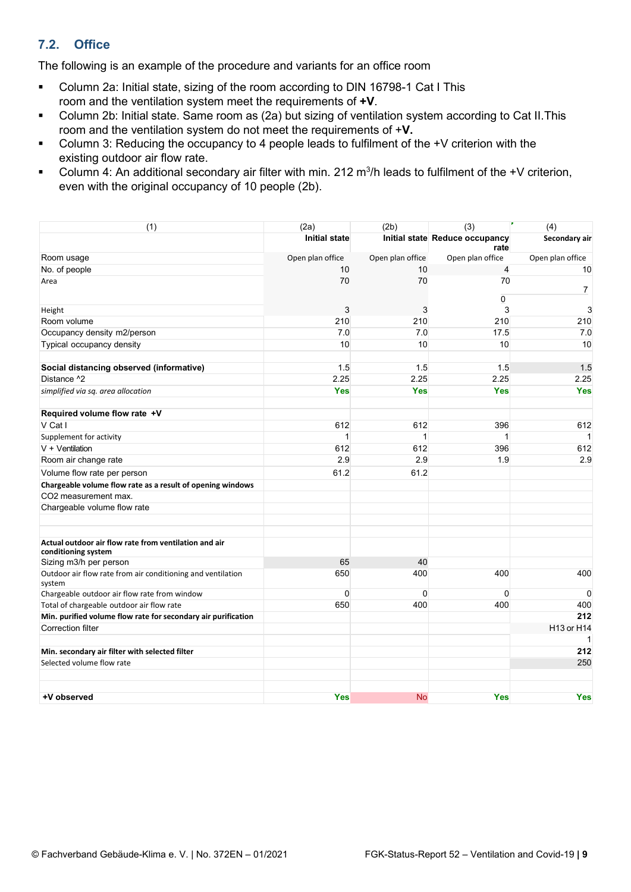## **7.2. Office**

The following is an example of the procedure and variants for an office room

- Column 2a: Initial state, sizing of the room according to DIN 16798-1 Cat I This room and the ventilation system meet the requirements of **+V**.
- Column 2b: Initial state. Same room as (2a) but sizing of ventilation system according to Cat II.This room and the ventilation system do not meet the requirements of +**V.**
- Column 3: Reducing the occupancy to 4 people leads to fulfilment of the +V criterion with the existing outdoor air flow rate.
- **Column 4: An additional secondary air filter with min.** 212 m<sup>3</sup>/h leads to fulfilment of the +V criterion, even with the original occupancy of 10 people (2b).

| (1)                                                                   | (2a)                 | (2b)             | (3)                                    | (4)              |
|-----------------------------------------------------------------------|----------------------|------------------|----------------------------------------|------------------|
|                                                                       | <b>Initial state</b> |                  | Initial state Reduce occupancy<br>rate | Secondary air    |
| Room usage                                                            | Open plan office     | Open plan office | Open plan office                       | Open plan office |
| No. of people                                                         | 10                   | 10               | $\overline{4}$                         | 10               |
| Area                                                                  | 70                   | 70               | 70<br>0                                | $\overline{7}$   |
| Height                                                                | 3                    | 3                | 3                                      | 3                |
| Room volume                                                           | 210                  | 210              | 210                                    | 210              |
| Occupancy density m2/person                                           | 7.0                  | 7.0              | 17.5                                   | 7.0              |
| Typical occupancy density                                             | 10                   | 10               | 10                                     | 10               |
| Social distancing observed (informative)                              | 1.5                  | 1.5              | 1.5                                    | 1.5              |
| Distance ^2                                                           | 2.25                 | 2.25             | 2.25                                   | 2.25             |
| simplified via sq. area allocation                                    | <b>Yes</b>           | <b>Yes</b>       | <b>Yes</b>                             | <b>Yes</b>       |
| Required volume flow rate +V                                          |                      |                  |                                        |                  |
| V Cat I                                                               | 612                  | 612              | 396                                    | 612              |
| Supplement for activity                                               | 1                    | 1                | $\mathbf{1}$                           | 1                |
| $V + V$ entilation                                                    | 612                  | 612              | 396                                    | 612              |
| Room air change rate                                                  | 2.9                  | 2.9              | 1.9                                    | 2.9              |
| Volume flow rate per person                                           | 61.2                 | 61.2             |                                        |                  |
| Chargeable volume flow rate as a result of opening windows            |                      |                  |                                        |                  |
| CO2 measurement max.                                                  |                      |                  |                                        |                  |
| Chargeable volume flow rate                                           |                      |                  |                                        |                  |
| Actual outdoor air flow rate from ventilation and air                 |                      |                  |                                        |                  |
| conditioning system<br>Sizing m3/h per person                         | 65                   | 40               |                                        |                  |
| Outdoor air flow rate from air conditioning and ventilation<br>system | 650                  | 400              | 400                                    | 400              |
| Chargeable outdoor air flow rate from window                          | $\mathbf 0$          | $\Omega$         | 0                                      | $\Omega$         |
| Total of chargeable outdoor air flow rate                             | 650                  | 400              | 400                                    | 400              |
| Min. purified volume flow rate for secondary air purification         |                      |                  |                                        | 212              |
| Correction filter                                                     |                      |                  |                                        | H13 or H14       |
| Min. secondary air filter with selected filter                        |                      |                  |                                        | 1<br>212         |
| Selected volume flow rate                                             |                      |                  |                                        | 250              |
| +V observed                                                           | <b>Yes</b>           | <b>No</b>        | <b>Yes</b>                             | <b>Yes</b>       |